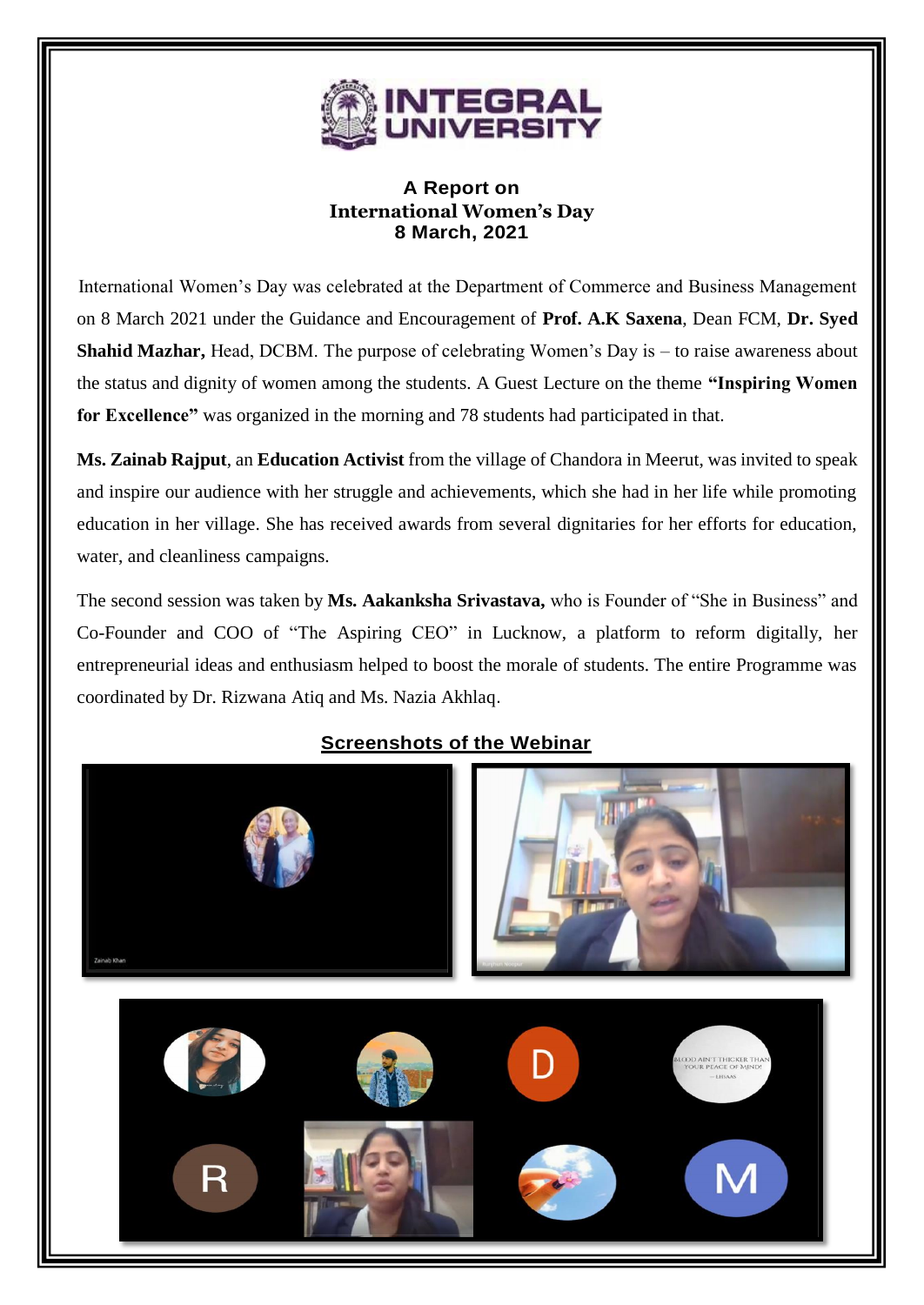

## **A Report on International Women's Day 8 March, 2021**

International Women's Day was celebrated at the Department of Commerce and Business Management on 8 March 2021 under the Guidance and Encouragement of **Prof. A.K Saxena**, Dean FCM, **Dr. Syed Shahid Mazhar,** Head, DCBM. The purpose of celebrating Women's Day is – to raise awareness about the status and dignity of women among the students. A Guest Lecture on the theme **"Inspiring Women for Excellence"** was organized in the morning and 78 students had participated in that.

**Ms. Zainab Rajput**, an **Education Activist** from the village of Chandora in Meerut, was invited to speak and inspire our audience with her struggle and achievements, which she had in her life while promoting education in her village. She has received awards from several dignitaries for her efforts for education, water, and cleanliness campaigns.

The second session was taken by **Ms. Aakanksha Srivastava,** who is Founder of "She in Business" and Co-Founder and COO of "The Aspiring CEO" in Lucknow, a platform to reform digitally, her entrepreneurial ideas and enthusiasm helped to boost the morale of students. The entire Programme was coordinated by Dr. Rizwana Atiq and Ms. Nazia Akhlaq.



## **Screenshots of the Webinar**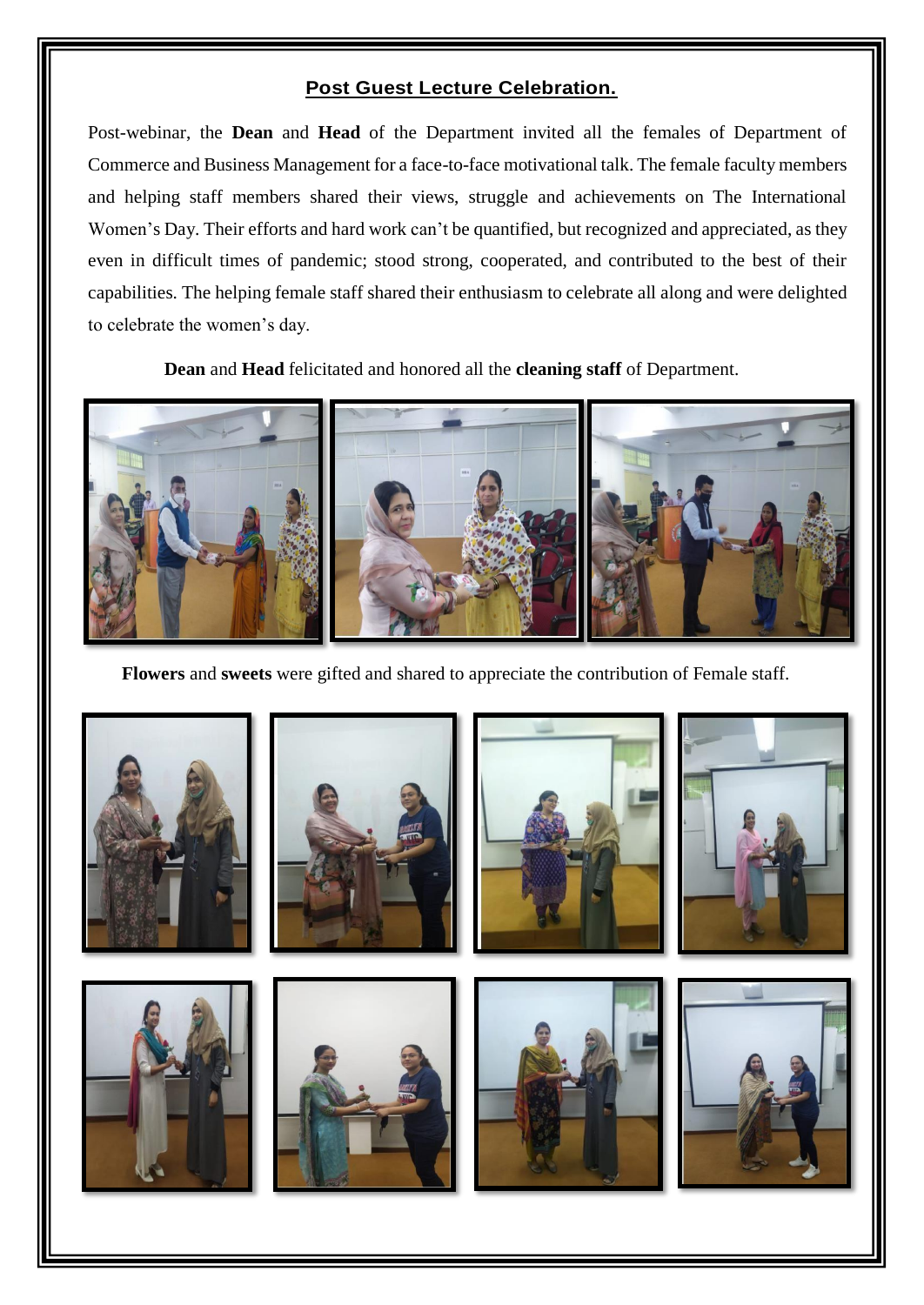## **Post Guest Lecture Celebration.**

Post-webinar, the **Dean** and **Head** of the Department invited all the females of Department of Commerce and Business Management for a face-to-face motivational talk. The female faculty members and helping staff members shared their views, struggle and achievements on The International Women's Day. Their efforts and hard work can't be quantified, but recognized and appreciated, as they even in difficult times of pandemic; stood strong, cooperated, and contributed to the best of their capabilities. The helping female staff shared their enthusiasm to celebrate all along and were delighted to celebrate the women's day.

**Dean** and **Head** felicitated and honored all the **cleaning staff** of Department.



**Flowers** and **sweets** were gifted and shared to appreciate the contribution of Female staff.